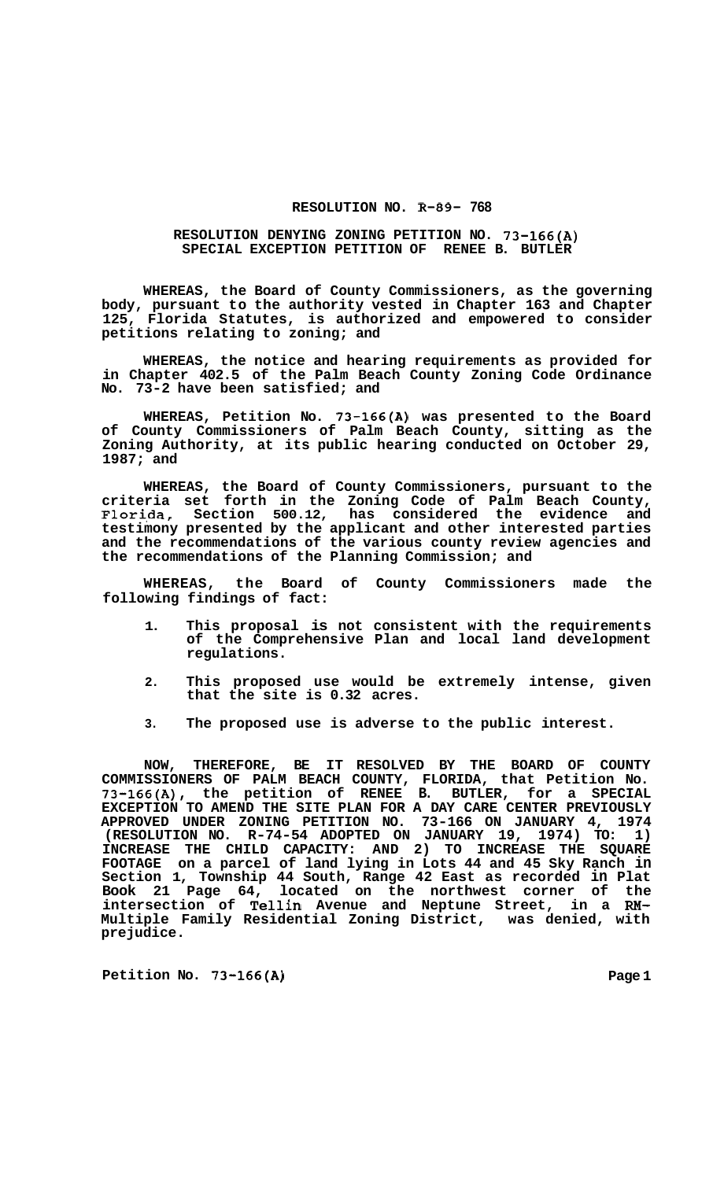## **RESOLUTION NO. R-89- 768**

## **RESOLUTION DENYING ZONING PETITION NO. 73-166(A) SPECIAL EXCEPTION PETITION OF RENEE B. BUTLER**

**WHEREAS, the Board of County Commissioners, as the governing body, pursuant to the authority vested in Chapter 163 and Chapter 125, Florida Statutes, is authorized and empowered to consider petitions relating to zoning; and** 

**WHEREAS, the notice and hearing requirements as provided for in Chapter 402.5 of the Palm Beach County Zoning Code Ordinance No. 73-2 have been satisfied; and** 

**WHEREAS, Petition No. 73-166(A) was presented to the Board of County Commissioners of Palm Beach County, sitting as the Zoning Authority, at its public hearing conducted on October 29, 1987; and** 

**WHEREAS, the Board of County Commissioners, pursuant to the criteria set forth in the Zoning Code of Palm Beach County, Flori,da, Section 500.12, has considered the evidence and testimony presented by the applicant and other interested parties and the recommendations of the various county review agencies and the recommendations of the Planning Commission; and** 

**WHEREAS, the Board of County Commissioners made the following findings of fact:** 

- **1. This proposal is not consistent with the requirements of the Comprehensive Plan and local land development regulations.**
- **2. This proposed use would be extremely intense, given that the site is 0.32 acres.**
- **3. The proposed use is adverse to the public interest.**

**NOW, THEREFORE, BE IT RESOLVED BY THE BOARD OF COUNTY COMMISSIONERS OF PALM BEACH COUNTY, FLORIDA, that Petition No. 73-166(A), the petition of RENEE B. BUTLER, for a SPECIAL EXCEPTION TO AMEND THE SITE PLAN FOR A DAY CARE CENTER PREVIOUSLY APPROVED UNDER ZONING PETITION NO. 73-166 ON JANUARY 4, 1974 (RESOLUTION NO. R-74-54 ADOPTED ON JANUARY 19, 1974) TO: 1) INCREASE THE CHILD CAPACITY: AND 2) TO INCREASE THE SQUARE FOOTAGE on a parcel of land lying in Lots 44 and 45 Sky Ranch in Section 1, Township 44 South, Range 42 East as recorded in Plat Book 21 Page 64, located on the northwest corner of the intersection of Tellin Avenue and Neptune Street, in a RM-Multiple Family Residential Zoning District, was denied, with prejudice.** 

Petition No. 73-166(A) Page 1